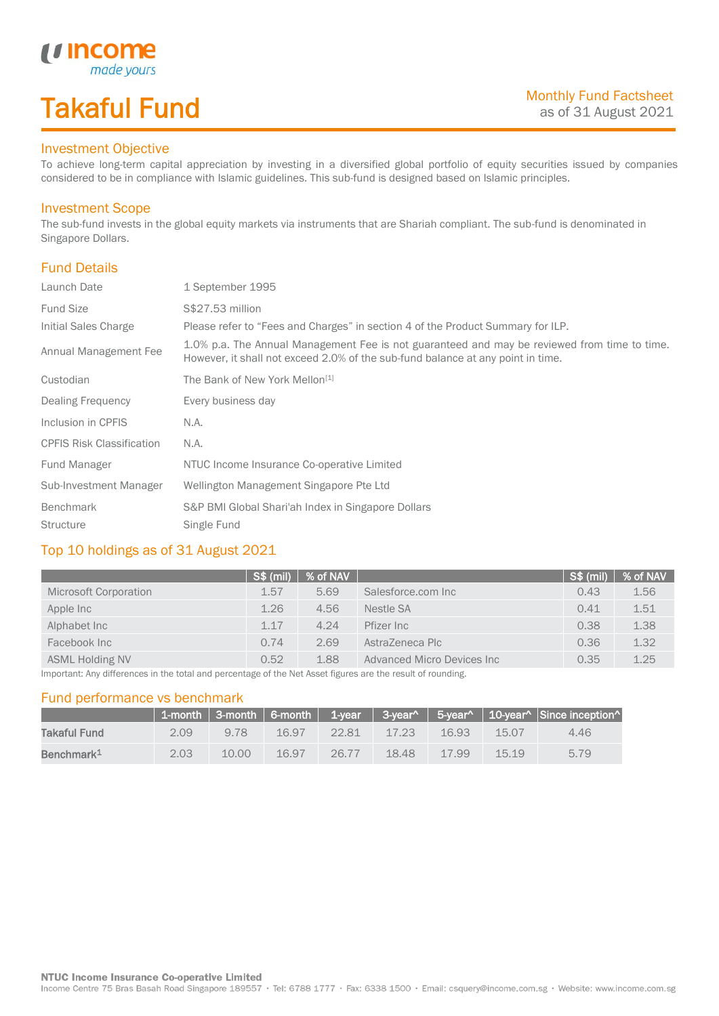# Takaful Fund

made your:

#### Investment Objective

U Incom

To achieve long-term capital appreciation by investing in a diversified global portfolio of equity securities issued by companies considered to be in compliance with Islamic guidelines. This sub-fund is designed based on Islamic principles.

### Investment Scope

The sub-fund invests in the global equity markets via instruments that are Shariah compliant. The sub-fund is denominated in Singapore Dollars.

## Fund Details

I

| Launch Date                      | 1 September 1995                                                                                                                                                                |  |
|----------------------------------|---------------------------------------------------------------------------------------------------------------------------------------------------------------------------------|--|
| <b>Fund Size</b>                 | S\$27.53 million                                                                                                                                                                |  |
| Initial Sales Charge             | Please refer to "Fees and Charges" in section 4 of the Product Summary for ILP.                                                                                                 |  |
| Annual Management Fee            | 1.0% p.a. The Annual Management Fee is not guaranteed and may be reviewed from time to time.<br>However, it shall not exceed 2.0% of the sub-fund balance at any point in time. |  |
| Custodian                        | The Bank of New York Mellon <sup>[1]</sup>                                                                                                                                      |  |
| Dealing Frequency                | Every business day                                                                                                                                                              |  |
| Inclusion in CPFIS               | N.A.                                                                                                                                                                            |  |
| <b>CPFIS Risk Classification</b> | N.A.                                                                                                                                                                            |  |
| Fund Manager                     | NTUC Income Insurance Co-operative Limited                                                                                                                                      |  |
| Sub-Investment Manager           | Wellington Management Singapore Pte Ltd                                                                                                                                         |  |
| Benchmark                        | S&P BMI Global Shari'ah Index in Singapore Dollars                                                                                                                              |  |
| <b>Structure</b>                 | Single Fund                                                                                                                                                                     |  |

### Top 10 holdings as of 31 August 2021

|                                                                                                                                  | $\sqrt{\text{S}}\$ (mil) | % of NAV |                            | S\$ (mil) | % of NAV |
|----------------------------------------------------------------------------------------------------------------------------------|--------------------------|----------|----------------------------|-----------|----------|
| Microsoft Corporation                                                                                                            | 1.57                     | 5.69     | Salesforce.com Inc         | 0.43      | 1.56     |
| Apple Inc                                                                                                                        | 1.26                     | 4.56     | Nestle SA                  | 0.41      | 1.51     |
| Alphabet Inc                                                                                                                     | 1.17                     | 4.24     | Pfizer Inc                 | 0.38      | 1.38     |
| Facebook Inc                                                                                                                     | 0.74                     | 2.69     | AstraZeneca Plc            | 0.36      | 1.32     |
| <b>ASML Holding NV</b>                                                                                                           | 0.52                     | 1.88     | Advanced Micro Devices Inc | 0.35      | 1.25     |
| There entered their differences of the theory and he concerted to a full a March flowing a security consistent of her results of |                          |          |                            |           |          |

Important: Any differences in the total and percentage of the Net Asset figures are the result of rounding.

#### Fund performance vs benchmark

|                        |      |       |           |          |            |          |       | 1-month   3-month   6-month   1-year   3-year^   5-year^   10-year^   Since inception^ |
|------------------------|------|-------|-----------|----------|------------|----------|-------|----------------------------------------------------------------------------------------|
| Takaful Fund           | 2.09 | 9.78  | $-16.97-$ | 22.81    | $-17.23 -$ | 16.93    | 15.07 | 4.46                                                                                   |
| Benchmark <sup>1</sup> | 2.03 | 10.00 | 16.97     | $-26.77$ | 18.48      | $-17.99$ | 15.19 | 5.79                                                                                   |

Income Centre 75 Bras Basah Road Singapore 189557 · Tel: 6788 1777 · Fax: 6338 1500 · Email: csquery@income.com.sg · Website: www.income.com.sg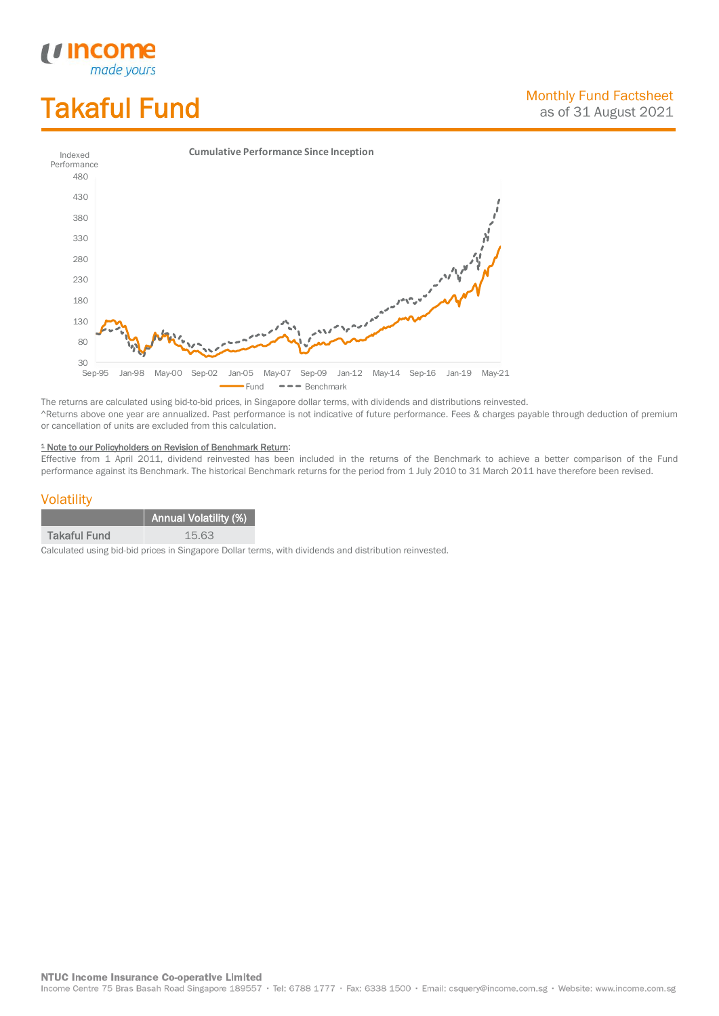# Takaful Fund

*<u>Income</u>*<br>made yours

I



The returns are calculated using bid-to-bid prices, in Singapore dollar terms, with dividends and distributions reinvested. ^Returns above one year are annualized. Past performance is not indicative of future performance. Fees & charges payable through deduction of premium or cancellation of units are excluded from this calculation.

#### <sup>1</sup> Note to our Policyholders on Revision of Benchmark Return:

Effective from 1 April 2011, dividend reinvested has been included in the returns of the Benchmark to achieve a better comparison of the Fund performance against its Benchmark. The historical Benchmark returns for the period from 1 July 2010 to 31 March 2011 have therefore been revised.

### **Volatility**

|                     | <b>Annual Volatility (%)</b> |
|---------------------|------------------------------|
| <b>Takaful Fund</b> | 15.63                        |

Calculated using bid-bid prices in Singapore Dollar terms, with dividends and distribution reinvested.

**NTUC Income Insurance Co-operative Limited** 

Income Centre 75 Bras Basah Road Singapore 189557 · Tel: 6788 1777 · Fax: 6338 1500 · Email: csquery@income.com.sg · Website: www.income.com.sg